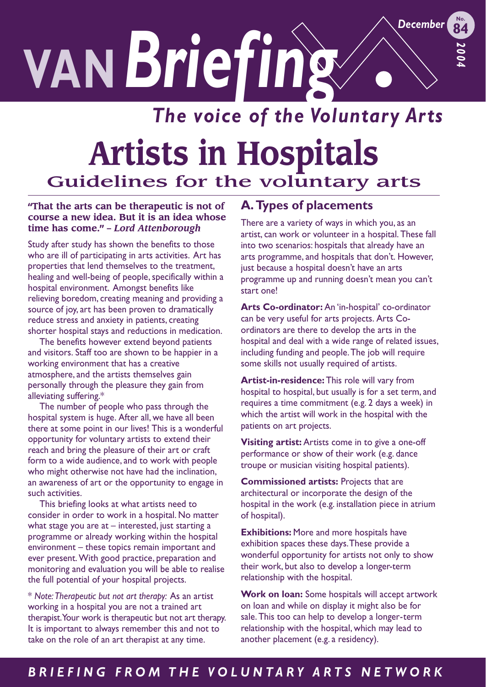**VAN** *Briefing*

# *The voice of the Voluntary Arts* **Artists in Hospitals** Guidelines for the voluntary arts

### **"That the arts can be therapeutic is not of course a new idea. But it is an idea whose time has come." –** *Lord Attenborough*

Study after study has shown the benefits to those who are ill of participating in arts activities. Art has properties that lend themselves to the treatment, healing and well-being of people, specifically within a hospital environment. Amongst benefits like relieving boredom, creating meaning and providing a source of joy, art has been proven to dramatically reduce stress and anxiety in patients, creating shorter hospital stays and reductions in medication.

The benefits however extend beyond patients and visitors. Staff too are shown to be happier in a working environment that has a creative atmosphere, and the artists themselves gain personally through the pleasure they gain from alleviating suffering.\*

The number of people who pass through the hospital system is huge. After all, we have all been there at some point in our lives! This is a wonderful opportunity for voluntary artists to extend their reach and bring the pleasure of their art or craft form to a wide audience, and to work with people who might otherwise not have had the inclination, an awareness of art or the opportunity to engage in such activities.

This briefing looks at what artists need to consider in order to work in a hospital. No matter what stage you are at  $-$  interested, just starting a programme or already working within the hospital environment – these topics remain important and ever present. With good practice, preparation and monitoring and evaluation you will be able to realise the full potential of your hospital projects.

\* *Note:Therapeutic but not art therapy:* As an artist working in a hospital you are not a trained art therapist.Your work is therapeutic but not art therapy. It is important to always remember this and not to take on the role of an art therapist at any time.

## **A.Types of placements**

There are a variety of ways in which you, as an artist, can work or volunteer in a hospital. These fall into two scenarios: hospitals that already have an arts programme, and hospitals that don't. However, just because a hospital doesn't have an arts programme up and running doesn't mean you can't start one!

*December*

*2004*

**No. 84**

**Arts Co-ordinator:** An 'in-hospital' co-ordinator can be very useful for arts projects. Arts Coordinators are there to develop the arts in the hospital and deal with a wide range of related issues, including funding and people.The job will require some skills not usually required of artists.

**Artist-in-residence:** This role will vary from hospital to hospital, but usually is for a set term, and requires a time commitment (e.g. 2 days a week) in which the artist will work in the hospital with the patients on art projects.

**Visiting artist:** Artists come in to give a one-off performance or show of their work (e.g. dance troupe or musician visiting hospital patients).

**Commissioned artists:** Projects that are architectural or incorporate the design of the hospital in the work (e.g. installation piece in atrium of hospital).

**Exhibitions:** More and more hospitals have exhibition spaces these days.These provide a wonderful opportunity for artists not only to show their work, but also to develop a longer-term relationship with the hospital.

**Work on loan:** Some hospitals will accept artwork on loan and while on display it might also be for sale. This too can help to develop a longer-term relationship with the hospital, which may lead to another placement (e.g. a residency).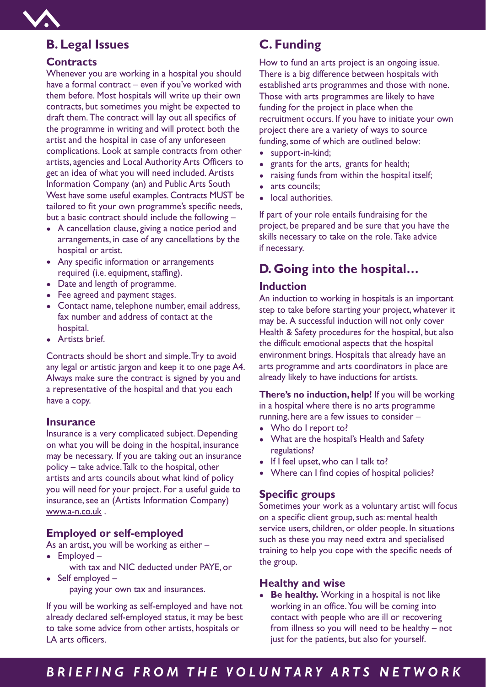

# **B. Legal Issues**

#### **Contracts**

Whenever you are working in a hospital you should have a formal contract – even if you've worked with them before. Most hospitals will write up their own contracts, but sometimes you might be expected to draft them. The contract will lay out all specifics of the programme in writing and will protect both the artist and the hospital in case of any unforeseen complications. Look at sample contracts from other artists, agencies and Local Authority Arts Officers to get an idea of what you will need included. Artists Information Company (an) and Public Arts South West have some useful examples. Contracts MUST be tailored to fit your own programme's specific needs, but a basic contract should include the following –

- A cancellation clause, giving a notice period and arrangements, in case of any cancellations by the hospital or artist.
- Any specific information or arrangements required (i.e. equipment, staffing).
- Date and length of programme.
- Fee agreed and payment stages.
- Contact name, telephone number, email address, fax number and address of contact at the hospital.
- Artists brief.

Contracts should be short and simple.Try to avoid any legal or artistic jargon and keep it to one page A4. Always make sure the contract is signed by you and a representative of the hospital and that you each have a copy.

#### **Insurance**

Insurance is a very complicated subject. Depending on what you will be doing in the hospital, insurance may be necessary. If you are taking out an insurance policy – take advice.Talk to the hospital, other artists and arts councils about what kind of policy you will need for your project. For a useful guide to insurance, see an (Artists Information Company) www.a-n.co.uk .

### **Employed or self-employed**

As an artist, you will be working as either –

- Employed with tax and NIC deducted under PAYE, or
- Self employed paying your own tax and insurances.

If you will be working as self-employed and have not already declared self-employed status, it may be best to take some advice from other artists, hospitals or LA arts officers.

# **C. Funding**

How to fund an arts project is an ongoing issue. There is a big difference between hospitals with established arts programmes and those with none. Those with arts programmes are likely to have funding for the project in place when the recruitment occurs. If you have to initiate your own project there are a variety of ways to source funding, some of which are outlined below:

- support-in-kind;
- grants for the arts, grants for health;
- raising funds from within the hospital itself;
- arts councils:
- local authorities.

If part of your role entails fundraising for the project, be prepared and be sure that you have the skills necessary to take on the role. Take advice if necessary.

## **D. Going into the hospital…**

### **Induction**

An induction to working in hospitals is an important step to take before starting your project, whatever it may be. A successful induction will not only cover Health & Safety procedures for the hospital, but also the difficult emotional aspects that the hospital environment brings. Hospitals that already have an arts programme and arts coordinators in place are already likely to have inductions for artists.

**There's no induction, help!** If you will be working in a hospital where there is no arts programme running, here are a few issues to consider –

- Who do I report to?
- What are the hospital's Health and Safety regulations?
- If I feel upset, who can I talk to?
- Where can I find copies of hospital policies?

### **Specific groups**

Sometimes your work as a voluntary artist will focus on a specific client group, such as: mental health service users, children, or older people. In situations such as these you may need extra and specialised training to help you cope with the specific needs of the group.

### **Healthy and wise**

**Be healthy.** Working in a hospital is not like working in an office.You will be coming into contact with people who are ill or recovering from illness so you will need to be healthy – not just for the patients, but also for yourself.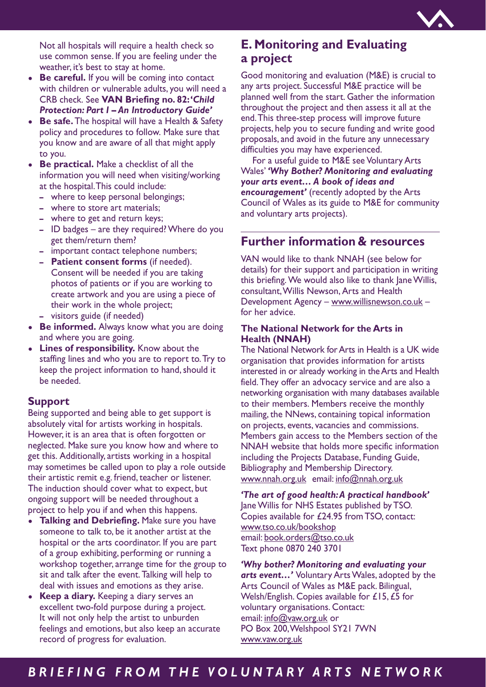

Not all hospitals will require a health check so use common sense. If you are feeling under the weather, it's best to stay at home.

- **Be careful.** If you will be coming into contact with children or vulnerable adults, you will need a CRB check. See **VAN Briefing no. 82:'***Child Protection: Part I – An Introductory Guide'*
- **Be safe.** The hospital will have a Health & Safety policy and procedures to follow. Make sure that you know and are aware of all that might apply to you.
- **Be practical.** Make a checklist of all the information you will need when visiting/working at the hospital.This could include:
	- **–** where to keep personal belongings;
	- **–** where to store art materials;
	- **–** where to get and return keys;
	- **–** ID badges are they required? Where do you get them/return them?
	- **–** important contact telephone numbers;
	- **– Patient consent forms** (if needed). Consent will be needed if you are taking photos of patients or if you are working to create artwork and you are using a piece of their work in the whole project;
	- **–** visitors guide (if needed)
- **Be informed.** Always know what you are doing and where you are going.
- **Lines of responsibility.** Know about the staffing lines and who you are to report to.Try to keep the project information to hand, should it be needed.

### **Support**

Being supported and being able to get support is absolutely vital for artists working in hospitals. However, it is an area that is often forgotten or neglected. Make sure you know how and where to get this. Additionally, artists working in a hospital may sometimes be called upon to play a role outside their artistic remit e.g. friend, teacher or listener. The induction should cover what to expect, but ongoing support will be needed throughout a project to help you if and when this happens.

- **Talking and Debriefing.** Make sure you have someone to talk to, be it another artist at the hospital or the arts coordinator. If you are part of a group exhibiting, performing or running a workshop together, arrange time for the group to sit and talk after the event. Talking will help to deal with issues and emotions as they arise.
- **Keep a diary.** Keeping a diary serves an excellent two-fold purpose during a project. It will not only help the artist to unburden feelings and emotions, but also keep an accurate record of progress for evaluation.

# **E. Monitoring and Evaluating a project**

Good monitoring and evaluation (M&E) is crucial to any arts project. Successful M&E practice will be planned well from the start. Gather the information throughout the project and then assess it all at the end.This three-step process will improve future projects, help you to secure funding and write good proposals, and avoid in the future any unnecessary difficulties you may have experienced.

For a useful guide to M&E see Voluntary Arts Wales' *'Why Bother? Monitoring and evaluating your arts event… A book of ideas and encouragement'* (recently adopted by the Arts Council of Wales as its guide to M&E for community and voluntary arts projects).

### **Further information & resources**

VAN would like to thank NNAH (see below for details) for their support and participation in writing this briefing. We would also like to thank Jane Willis, consultant,Willis Newson, Arts and Health Development Agency – www.willisnewson.co.uk – for her advice.

#### **The National Network for the Arts in Health (NNAH)**

The National Network for Arts in Health is a UK wide organisation that provides information for artists interested in or already working in the Arts and Health field. They offer an advocacy service and are also a networking organisation with many databases available to their members. Members receive the monthly mailing, the NNews, containing topical information on projects, events, vacancies and commissions. Members gain access to the Members section of the NNAH website that holds more specific information including the Projects Database, Funding Guide, Bibliography and Membership Directory. www.nnah.org.uk email: info@nnah.org.uk

*'The art of good health:A practical handbook'* Jane Willis for NHS Estates published by TSO. Copies available for £24.95 from TSO, contact: www.tso.co.uk/bookshop email: book.orders@tso.co.uk Text phone 0870 240 3701

*'Why bother? Monitoring and evaluating your arts event…'* Voluntary Arts Wales, adopted by the Arts Council of Wales as M&E pack. Bilingual, Welsh/English. Copies available for £15, £5 for voluntary organisations. Contact: email: info@vaw.org.uk or PO Box 200,Welshpool SY21 7WN www.vaw.org.uk